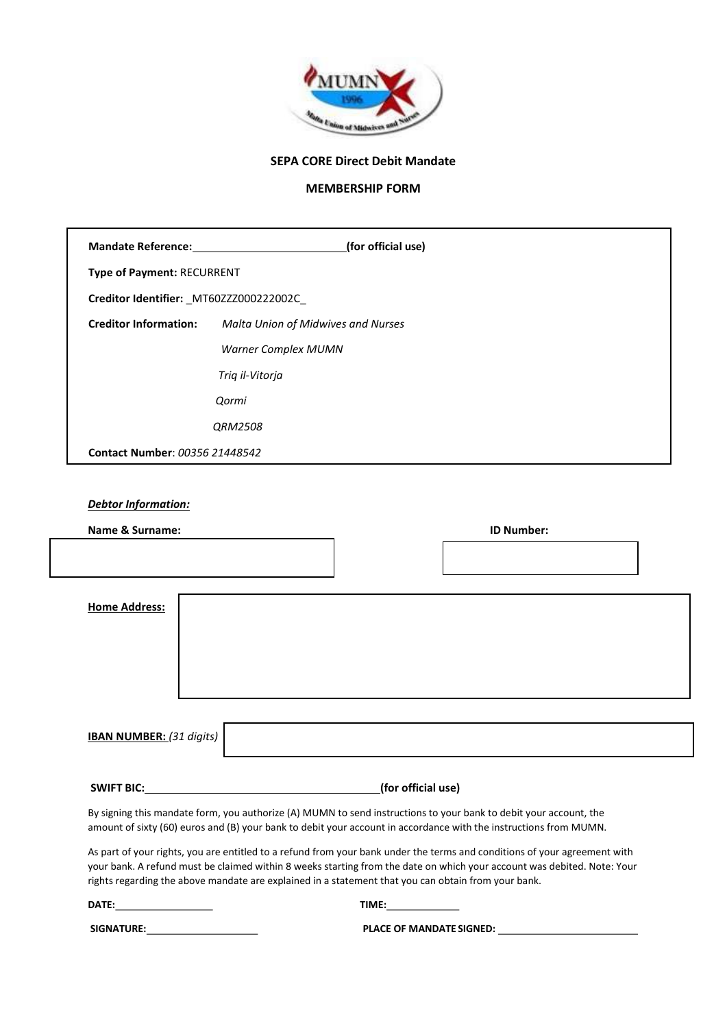

# SEPA CORE Direct Debit Mandate

# MEMBERSHIP FORM

| <b>Mandate Reference:</b>                | (for official use)                 |  |  |
|------------------------------------------|------------------------------------|--|--|
| <b>Type of Payment: RECURRENT</b>        |                                    |  |  |
| Creditor Identifier: _MT60ZZZ000222002C_ |                                    |  |  |
| <b>Creditor Information:</b>             | Malta Union of Midwives and Nurses |  |  |
|                                          | <b>Warner Complex MUMN</b>         |  |  |
|                                          | Triq il-Vitorja                    |  |  |
|                                          | Qormi                              |  |  |
|                                          | QRM2508                            |  |  |
| Contact Number: 00356 21448542           |                                    |  |  |

# Debtor Information:

| Name & Surname:                                                                                     |                    | <b>ID Number:</b>                                                                                                         |  |
|-----------------------------------------------------------------------------------------------------|--------------------|---------------------------------------------------------------------------------------------------------------------------|--|
|                                                                                                     |                    |                                                                                                                           |  |
|                                                                                                     |                    |                                                                                                                           |  |
| <b>Home Address:</b>                                                                                |                    |                                                                                                                           |  |
|                                                                                                     |                    |                                                                                                                           |  |
|                                                                                                     |                    |                                                                                                                           |  |
|                                                                                                     |                    |                                                                                                                           |  |
|                                                                                                     |                    |                                                                                                                           |  |
|                                                                                                     |                    |                                                                                                                           |  |
| <b>IBAN NUMBER:</b> (31 digits)                                                                     |                    |                                                                                                                           |  |
|                                                                                                     |                    |                                                                                                                           |  |
|                                                                                                     |                    |                                                                                                                           |  |
| <b>SWIFT BIC:</b>                                                                                   | (for official use) |                                                                                                                           |  |
|                                                                                                     |                    | By signing this mandate form, you authorize (A) MUMN to send instructions to your bank to debit your account, the         |  |
|                                                                                                     |                    | amount of sixty (60) euros and (B) your bank to debit your account in accordance with the instructions from MUMN.         |  |
|                                                                                                     |                    | As part of your rights, you are entitled to a refund from your bank under the terms and conditions of your agreement with |  |
|                                                                                                     |                    | your bank. A refund must be claimed within 8 weeks starting from the date on which your account was debited. Note: Your   |  |
| rights regarding the above mandate are explained in a statement that you can obtain from your bank. |                    |                                                                                                                           |  |

DATE: TIME:

SIGNATURE: PLACE OF MANDATE SIGNED: